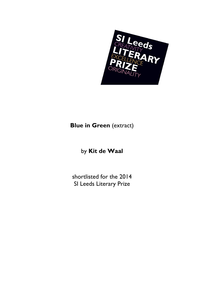

## **Blue in Green** (extract)

## by **Kit de Waal**

shortlisted for the 2014 SI Leeds Literary Prize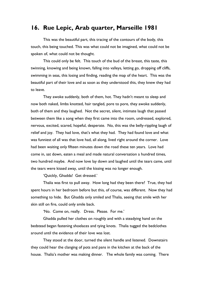## **16. Rue Lepic, Arab quarter, Marseille 1981**

 This was the beautiful part, this tracing of the contours of the body, this touch, this being touched. This was what could not be imagined, what could not be spoken of, what could not be thought.

 This could only be felt. This touch of the bud of the breast, this taste, this twinning, knowing and being known, falling into valleys, letting go, dropping off cliffs, swimming in seas, this losing and finding, reading the map of the heart. This was the beautiful part of their love and as soon as they understood this, they knew they had to leave.

 They awoke suddenly, both of them, hot. They hadn't meant to sleep and now both naked, limbs knotted, hair tangled, pore to pore, they awoke suddenly, both of them and they laughed. Not the secret, silent, intimate laugh that passed between them like a song when they first came into the room, undressed, explored, nervous, excited, scared, hopeful, desperate. No, this was the belly-rippling laugh of relief and joy. They had love, that's what they had. They had found love and what was funniest of all was that love had, all along, lived right around the corner. Love had been waiting only fifteen minutes down the road these ten years. Love had come in, sat down, eaten a meal and made natural conversation a hundred times, two hundred maybe. And now love lay down and laughed until the tears came, until the tears were kissed away, until the kissing was no longer enough.

'Quickly, Ghadda! Get dressed.'

Thalia was first to pull away. How long had they been there? True, they had spent hours in her bedroom before but this, of course, was different. Now they had something to hide. But Ghadda only smiled and Thalia, seeing that smile with her skin still on fire, could only smile back.

'No. Come on, really. Dress. Please. For me.'

 Ghadda pulled her clothes on roughly and with a steadying hand on the bedstead began fastening shoelaces and tying knots. Thalia tugged the bedclothes around until the evidence of their love was lost.

 They stood at the door, turned the silent handle and listened. Downstairs they could hear the clanging of pots and pans in the kitchen at the back of the house. Thalia's mother was making dinner. The whole family was coming. There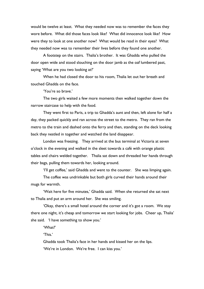would be twelve at least. What they needed now was to remember the faces they wore before. What did those faces look like? What did innocence look like? How were they to look at one another now? What would be read in their eyes? What they needed now was to remember their lives before they found one another.

 A footstep on the stairs. Thalia's brother. It was Ghadda who pulled the door open wide and stood slouching on the door jamb as the oaf lumbered past, saying 'What are you two looking at?'

When he had closed the door to his room, Thalia let out her breath and touched Ghadda on the face.

'You're so brave.'

 The two girls waited a few more moments then walked together down the narrow staircase to help with the food.

 They went first to Paris, a trip to Ghadda's aunt and then, left alone for half a day, they packed quickly and ran across the street to the metro. They ran from the metro to the train and dashed onto the ferry and then, standing on the deck looking back they nestled in together and watched the land disappear.

London was freezing. They arrived at the bus terminal at Victoria at seven o'clock in the evening and walked in the sleet towards a café with orange plastic tables and chairs welded together. Thalia sat down and threaded her hands through their bags, pulling them towards her, looking around.

'I'll get coffee,' said Ghadda and went to the counter. She was limping again.

 The coffee was undrinkable but both girls curved their hands around their mugs for warmth.

 'Wait here for five minutes,' Ghadda said. When she returned she sat next to Thalia and put an arm around her. She was smiling.

 'Okay, there's a small hotel around the corner and it's got a room. We stay there one night, it's cheap and tomorrow we start looking for jobs. Cheer up, Thalia' she said. 'I have something to show you.'

'What?'

'This.'

 Ghadda took Thalia's face in her hands and kissed her on the lips. 'We're in London. We're free. I can kiss you.'